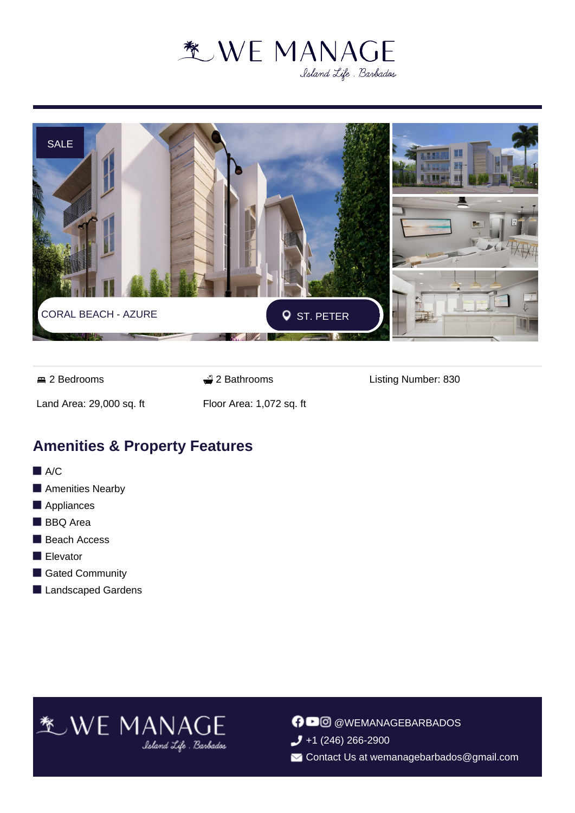



**2 Bedrooms** 2 Bathrooms 2 Bathrooms Listing Number: 830

Land Area: 29,000 sq. ft Floor Area: 1,072 sq. ft

### **Amenities & Property Features**

- $A/C$
- Amenities Nearby
- **Appliances**
- **BBQ** Area
- Beach Access
- **Elevator**
- Gated Community
- Landscaped Gardens

## **\*** WE MANAGE

**O** @WEMANAGEBARBADOS  $\bigcup$  +1 (246) 266-2900

Contact Us at wemanagebarbados@gmail.com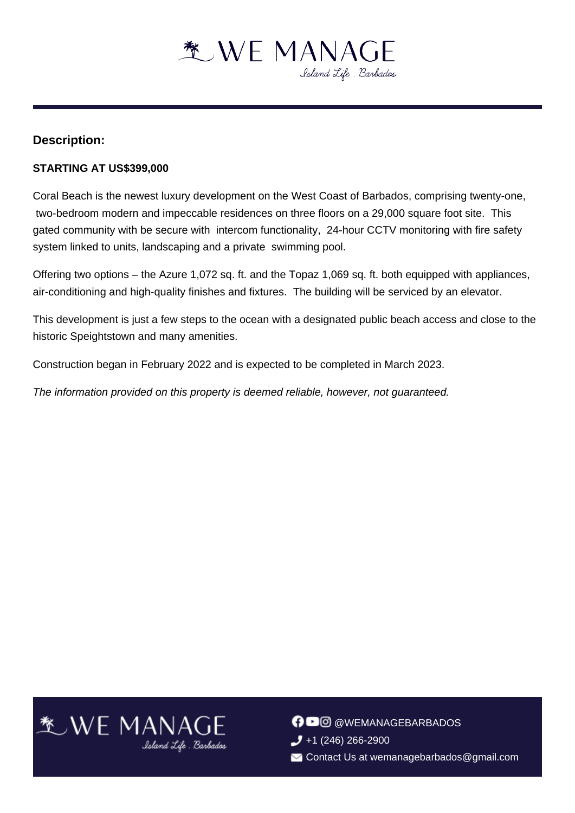

#### **Description:**

#### **STARTING AT US\$399,000**

Coral Beach is the newest luxury development on the West Coast of Barbados, comprising twenty-one, two-bedroom modern and impeccable residences on three floors on a 29,000 square foot site. This gated community with be secure with intercom functionality, 24-hour CCTV monitoring with fire safety system linked to units, landscaping and a private swimming pool.

Offering two options – the Azure 1,072 sq. ft. and the Topaz 1,069 sq. ft. both equipped with appliances, air-conditioning and high-quality finishes and fixtures. The building will be serviced by an elevator.

This development is just a few steps to the ocean with a designated public beach access and close to the historic Speightstown and many amenities.

Construction began in February 2022 and is expected to be completed in March 2023.

The information provided on this property is deemed reliable, however, not guaranteed.



**OD** @WEMANAGEBARBADOS  $\bigcup$  +1 (246) 266-2900 Contact Us at wemanagebarbados@gmail.com